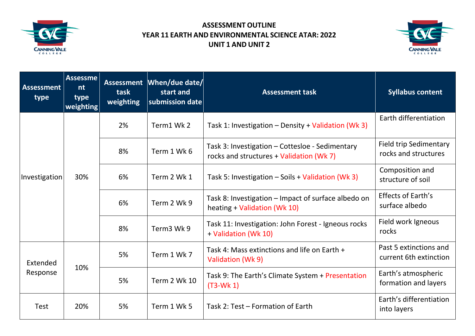

## **ASSESSMENT OUTLINE YEAR 11 EARTH AND ENVIRONMENTAL SCIENCE ATAR: 2022 UNIT 1 AND UNIT 2**



| <b>Assessment</b><br>type | <b>Assessme</b><br>nt<br>type<br>weighting | task<br>weighting | Assessment   When/due date/<br>start and<br>submission date | <b>Assessment task</b>                                                                      | <b>Syllabus content</b>                               |
|---------------------------|--------------------------------------------|-------------------|-------------------------------------------------------------|---------------------------------------------------------------------------------------------|-------------------------------------------------------|
| Investigation             | 30%                                        | 2%                | Term1 Wk2                                                   | Task 1: Investigation - Density + Validation (Wk 3)                                         | Earth differentiation                                 |
|                           |                                            | 8%                | Term 1 Wk 6                                                 | Task 3: Investigation - Cottesloe - Sedimentary<br>rocks and structures + Validation (Wk 7) | <b>Field trip Sedimentary</b><br>rocks and structures |
|                           |                                            | 6%                | Term 2 Wk 1                                                 | Task 5: Investigation - Soils + Validation (Wk 3)                                           | Composition and<br>structure of soil                  |
|                           |                                            | 6%                | Term 2 Wk 9                                                 | Task 8: Investigation – Impact of surface albedo on<br>heating + Validation (Wk 10)         | <b>Effects of Earth's</b><br>surface albedo           |
|                           |                                            | 8%                | Term <sub>3</sub> Wk 9                                      | Task 11: Investigation: John Forest - Igneous rocks<br>+ Validation (Wk 10)                 | Field work Igneous<br>rocks                           |
| Extended<br>Response      | 10%                                        | 5%                | Term 1 Wk 7                                                 | Task 4: Mass extinctions and life on Earth +<br>Validation (Wk 9)                           | Past 5 extinctions and<br>current 6th extinction      |
|                           |                                            | 5%                | <b>Term 2 Wk 10</b>                                         | Task 9: The Earth's Climate System + Presentation<br>$(T3-Wk 1)$                            | Earth's atmospheric<br>formation and layers           |
| <b>Test</b>               | 20%                                        | 5%                | Term 1 Wk 5                                                 | Task 2: Test – Formation of Earth                                                           | Earth's differentiation<br>into layers                |